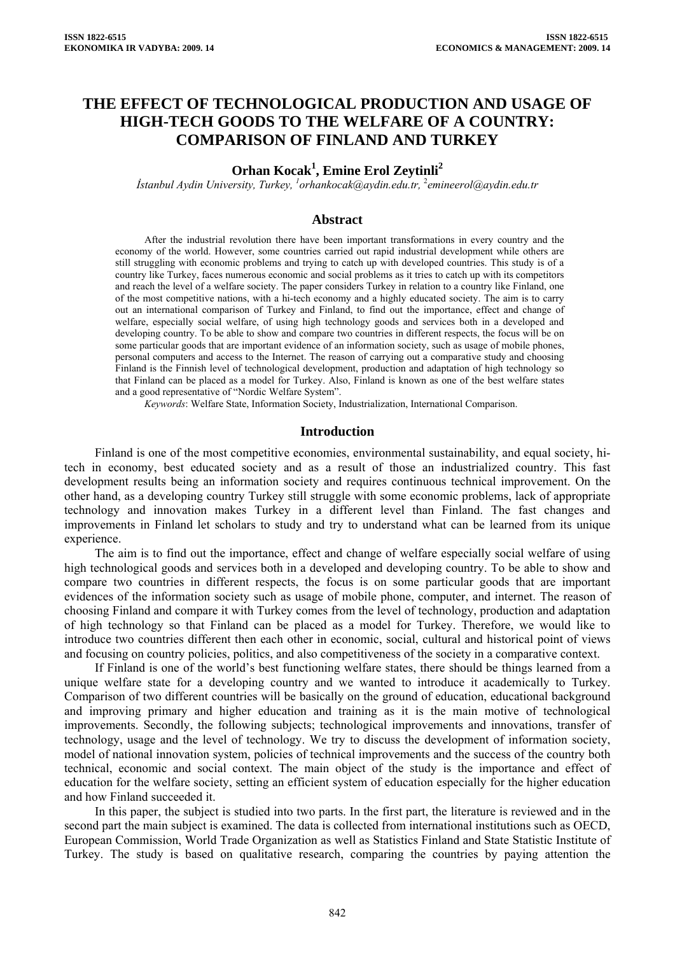# **THE EFFECT OF TECHNOLOGICAL PRODUCTION AND USAGE OF HIGH-TECH GOODS TO THE WELFARE OF A COUNTRY: COMPARISON OF FINLAND AND TURKEY**

## Orhan Kocak<sup>1</sup>, Emine Erol Zeytinli<sup>2</sup>

*İstanbul Aydin University, Turkey, [1](mailto:1orhankocak@aydin.edu.tr) [orhankocak@aydin.edu.tr](mailto:1orhankocak@aydin.edu.tr),* <sup>2</sup> *emineerol@aydin.edu.tr*

#### **Abstract**

After the industrial revolution there have been important transformations in every country and the economy of the world. However, some countries carried out rapid industrial development while others are still struggling with economic problems and trying to catch up with developed countries. This study is of a country like Turkey, faces numerous economic and social problems as it tries to catch up with its competitors and reach the level of a welfare society. The paper considers Turkey in relation to a country like Finland, one of the most competitive nations, with a hi-tech economy and a highly educated society. The aim is to carry out an international comparison of Turkey and Finland, to find out the importance, effect and change of welfare, especially social welfare, of using high technology goods and services both in a developed and developing country. To be able to show and compare two countries in different respects, the focus will be on some particular goods that are important evidence of an information society, such as usage of mobile phones, personal computers and access to the Internet. The reason of carrying out a comparative study and choosing Finland is the Finnish level of technological development, production and adaptation of high technology so that Finland can be placed as a model for Turkey. Also, Finland is known as one of the best welfare states and a good representative of "Nordic Welfare System".

*Keywords*: Welfare State, Information Society, Industrialization, International Comparison.

#### **Introduction**

Finland is one of the most competitive economies, environmental sustainability, and equal society, hitech in economy, best educated society and as a result of those an industrialized country. This fast development results being an information society and requires continuous technical improvement. On the other hand, as a developing country Turkey still struggle with some economic problems, lack of appropriate technology and innovation makes Turkey in a different level than Finland. The fast changes and improvements in Finland let scholars to study and try to understand what can be learned from its unique experience.

The aim is to find out the importance, effect and change of welfare especially social welfare of using high technological goods and services both in a developed and developing country. To be able to show and compare two countries in different respects, the focus is on some particular goods that are important evidences of the information society such as usage of mobile phone, computer, and internet. The reason of choosing Finland and compare it with Turkey comes from the level of technology, production and adaptation of high technology so that Finland can be placed as a model for Turkey. Therefore, we would like to introduce two countries different then each other in economic, social, cultural and historical point of views and focusing on country policies, politics, and also competitiveness of the society in a comparative context.

If Finland is one of the world's best functioning welfare states, there should be things learned from a unique welfare state for a developing country and we wanted to introduce it academically to Turkey. Comparison of two different countries will be basically on the ground of education, educational background and improving primary and higher education and training as it is the main motive of technological improvements. Secondly, the following subjects; technological improvements and innovations, transfer of technology, usage and the level of technology. We try to discuss the development of information society, model of national innovation system, policies of technical improvements and the success of the country both technical, economic and social context. The main object of the study is the importance and effect of education for the welfare society, setting an efficient system of education especially for the higher education and how Finland succeeded it.

In this paper, the subject is studied into two parts. In the first part, the literature is reviewed and in the second part the main subject is examined. The data is collected from international institutions such as OECD, European Commission, World Trade Organization as well as Statistics Finland and State Statistic Institute of Turkey. The study is based on qualitative research, comparing the countries by paying attention the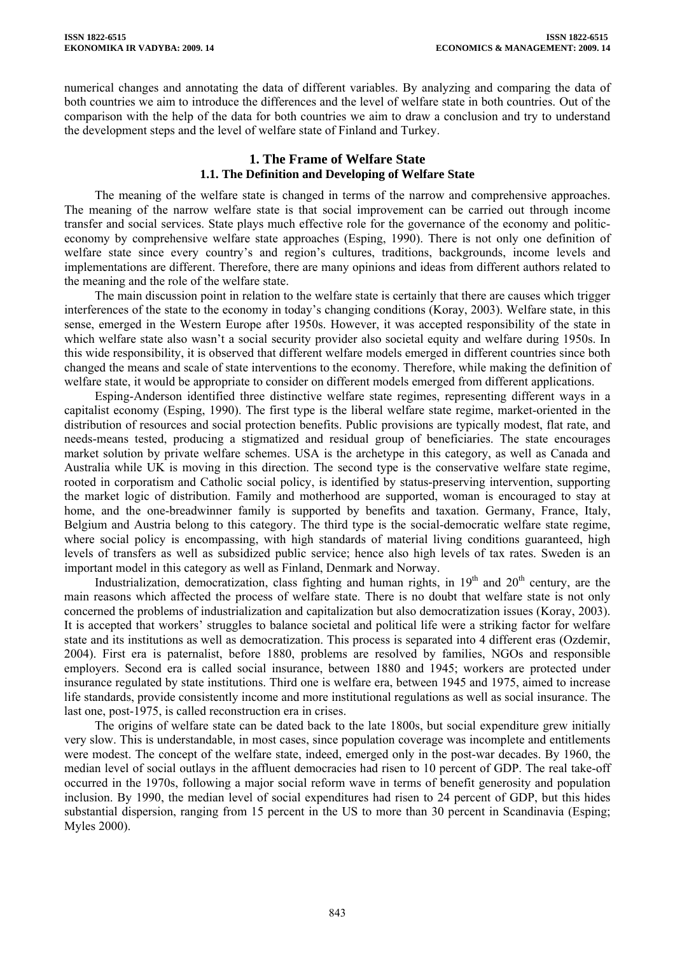numerical changes and annotating the data of different variables. By analyzing and comparing the data of both countries we aim to introduce the differences and the level of welfare state in both countries. Out of the comparison with the help of the data for both countries we aim to draw a conclusion and try to understand the development steps and the level of welfare state of Finland and Turkey.

## **1. The Frame of Welfare State 1.1. The Definition and Developing of Welfare State**

The meaning of the welfare state is changed in terms of the narrow and comprehensive approaches. The meaning of the narrow welfare state is that social improvement can be carried out through income transfer and social services. State plays much effective role for the governance of the economy and politiceconomy by comprehensive welfare state approaches (Esping, 1990). There is not only one definition of welfare state since every country's and region's cultures, traditions, backgrounds, income levels and implementations are different. Therefore, there are many opinions and ideas from different authors related to the meaning and the role of the welfare state.

The main discussion point in relation to the welfare state is certainly that there are causes which trigger interferences of the state to the economy in today's changing conditions (Koray, 2003). Welfare state, in this sense, emerged in the Western Europe after 1950s. However, it was accepted responsibility of the state in which welfare state also wasn't a social security provider also societal equity and welfare during 1950s. In this wide responsibility, it is observed that different welfare models emerged in different countries since both changed the means and scale of state interventions to the economy. Therefore, while making the definition of welfare state, it would be appropriate to consider on different models emerged from different applications.

Esping-Anderson identified three distinctive welfare state regimes, representing different ways in a capitalist economy (Esping, 1990). The first type is the liberal welfare state regime, market-oriented in the distribution of resources and social protection benefits. Public provisions are typically modest, flat rate, and needs-means tested, producing a stigmatized and residual group of beneficiaries. The state encourages market solution by private welfare schemes. USA is the archetype in this category, as well as Canada and Australia while UK is moving in this direction. The second type is the conservative welfare state regime, rooted in corporatism and Catholic social policy, is identified by status-preserving intervention, supporting the market logic of distribution. Family and motherhood are supported, woman is encouraged to stay at home, and the one-breadwinner family is supported by benefits and taxation. Germany, France, Italy, Belgium and Austria belong to this category. The third type is the social-democratic welfare state regime, where social policy is encompassing, with high standards of material living conditions guaranteed, high levels of transfers as well as subsidized public service; hence also high levels of tax rates. Sweden is an important model in this category as well as Finland, Denmark and Norway.

Industrialization, democratization, class fighting and human rights, in  $19<sup>th</sup>$  and  $20<sup>th</sup>$  century, are the main reasons which affected the process of welfare state. There is no doubt that welfare state is not only concerned the problems of industrialization and capitalization but also democratization issues (Koray, 2003). It is accepted that workers' struggles to balance societal and political life were a striking factor for welfare state and its institutions as well as democratization. This process is separated into 4 different eras (Ozdemir, 2004). First era is paternalist, before 1880, problems are resolved by families, NGOs and responsible employers. Second era is called social insurance, between 1880 and 1945; workers are protected under insurance regulated by state institutions. Third one is welfare era, between 1945 and 1975, aimed to increase life standards, provide consistently income and more institutional regulations as well as social insurance. The last one, post-1975, is called reconstruction era in crises.

The origins of welfare state can be dated back to the late 1800s, but social expenditure grew initially very slow. This is understandable, in most cases, since population coverage was incomplete and entitlements were modest. The concept of the welfare state, indeed, emerged only in the post-war decades. By 1960, the median level of social outlays in the affluent democracies had risen to 10 percent of GDP. The real take-off occurred in the 1970s, following a major social reform wave in terms of benefit generosity and population inclusion. By 1990, the median level of social expenditures had risen to 24 percent of GDP, but this hides substantial dispersion, ranging from 15 percent in the US to more than 30 percent in Scandinavia (Esping; Myles 2000).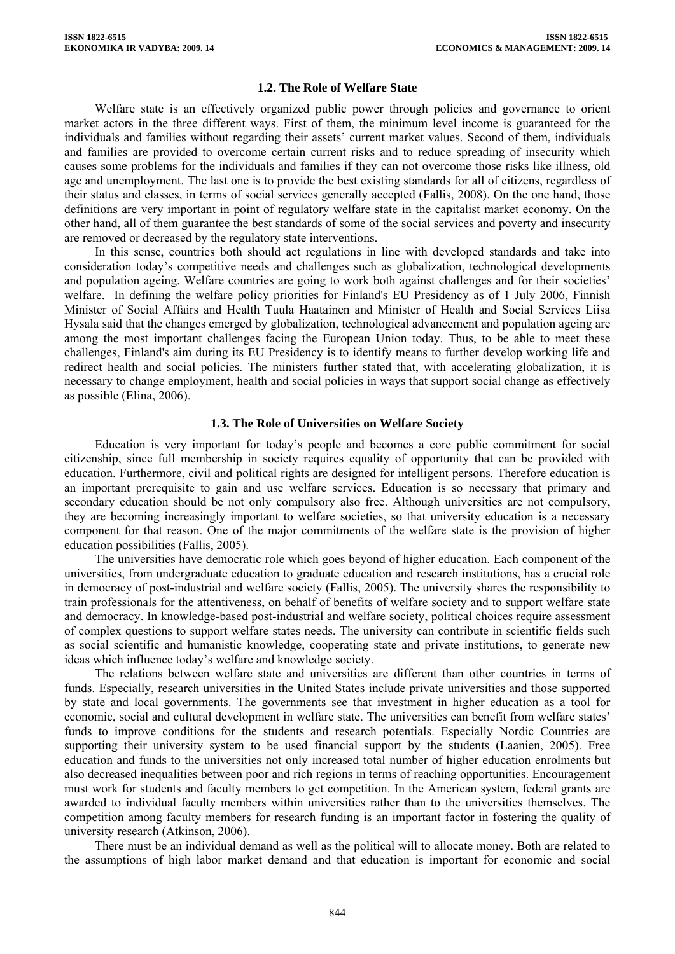#### **1.2. The Role of Welfare State**

Welfare state is an effectively organized public power through policies and governance to orient market actors in the three different ways. First of them, the minimum level income is guaranteed for the individuals and families without regarding their assets' current market values. Second of them, individuals and families are provided to overcome certain current risks and to reduce spreading of insecurity which causes some problems for the individuals and families if they can not overcome those risks like illness, old age and unemployment. The last one is to provide the best existing standards for all of citizens, regardless of their status and classes, in terms of social services generally accepted (Fallis, 2008). On the one hand, those definitions are very important in point of regulatory welfare state in the capitalist market economy. On the other hand, all of them guarantee the best standards of some of the social services and poverty and insecurity are removed or decreased by the regulatory state interventions.

In this sense, countries both should act regulations in line with developed standards and take into consideration today's competitive needs and challenges such as globalization, technological developments and population ageing. Welfare countries are going to work both against challenges and for their societies' welfare. In defining the welfare policy priorities for Finland's EU Presidency as of 1 July 2006, Finnish Minister of Social Affairs and Health Tuula Haatainen and Minister of Health and Social Services Liisa Hysala said that the changes emerged by globalization, technological advancement and population ageing are among the most important challenges facing the European Union today. Thus, to be able to meet these challenges, Finland's aim during its EU Presidency is to identify means to further develop working life and redirect health and social policies. The ministers further stated that, with accelerating globalization, it is necessary to change employment, health and social policies in ways that support social change as effectively as possible (Elina, 2006).

#### **1.3. The Role of Universities on Welfare Society**

Education is very important for today's people and becomes a core public commitment for social citizenship, since full membership in society requires equality of opportunity that can be provided with education. Furthermore, civil and political rights are designed for intelligent persons. Therefore education is an important prerequisite to gain and use welfare services. Education is so necessary that primary and secondary education should be not only compulsory also free. Although universities are not compulsory, they are becoming increasingly important to welfare societies, so that university education is a necessary component for that reason. One of the major commitments of the welfare state is the provision of higher education possibilities (Fallis, 2005).

The universities have democratic role which goes beyond of higher education. Each component of the universities, from undergraduate education to graduate education and research institutions, has a crucial role in democracy of post-industrial and welfare society (Fallis, 2005). The university shares the responsibility to train professionals for the attentiveness, on behalf of benefits of welfare society and to support welfare state and democracy. In knowledge-based post-industrial and welfare society, political choices require assessment of complex questions to support welfare states needs. The university can contribute in scientific fields such as social scientific and humanistic knowledge, cooperating state and private institutions, to generate new ideas which influence today's welfare and knowledge society.

The relations between welfare state and universities are different than other countries in terms of funds. Especially, research universities in the United States include private universities and those supported by state and local governments. The governments see that investment in higher education as a tool for economic, social and cultural development in welfare state. The universities can benefit from welfare states' funds to improve conditions for the students and research potentials. Especially Nordic Countries are supporting their university system to be used financial support by the students (Laanien, 2005). Free education and funds to the universities not only increased total number of higher education enrolments but also decreased inequalities between poor and rich regions in terms of reaching opportunities. Encouragement must work for students and faculty members to get competition. In the American system, federal grants are awarded to individual faculty members within universities rather than to the universities themselves. The competition among faculty members for research funding is an important factor in fostering the quality of university research (Atkinson, 2006).

There must be an individual demand as well as the political will to allocate money. Both are related to the assumptions of high labor market demand and that education is important for economic and social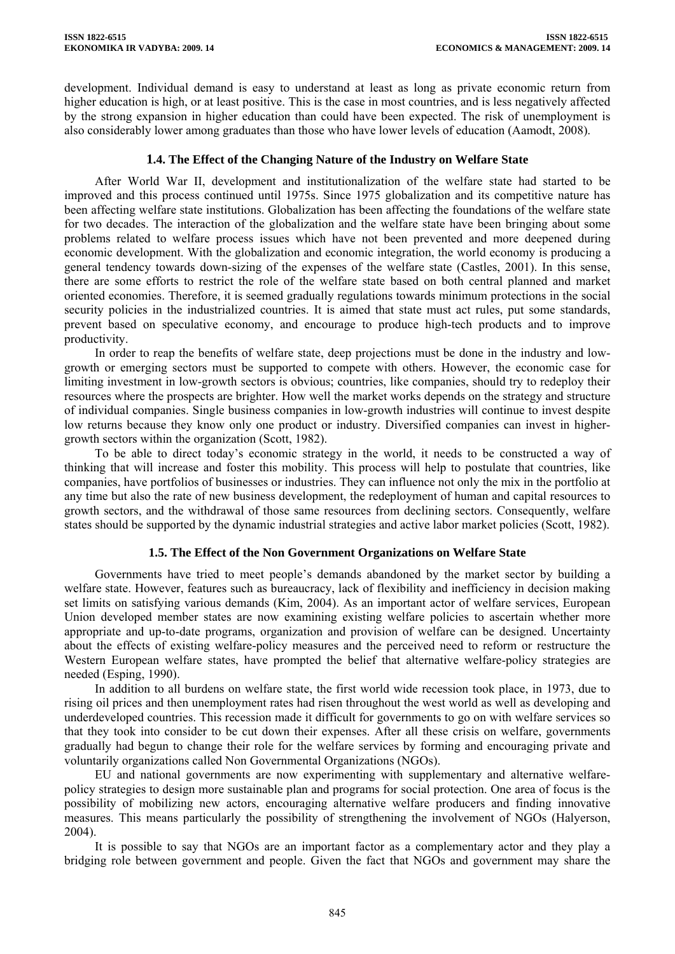development. Individual demand is easy to understand at least as long as private economic return from higher education is high, or at least positive. This is the case in most countries, and is less negatively affected by the strong expansion in higher education than could have been expected. The risk of unemployment is also considerably lower among graduates than those who have lower levels of education (Aamodt, 2008).

## **1.4. The Effect of the Changing Nature of the Industry on Welfare State**

After World War II, development and institutionalization of the welfare state had started to be improved and this process continued until 1975s. Since 1975 globalization and its competitive nature has been affecting welfare state institutions. Globalization has been affecting the foundations of the welfare state for two decades. The interaction of the globalization and the welfare state have been bringing about some problems related to welfare process issues which have not been prevented and more deepened during economic development. With the globalization and economic integration, the world economy is producing a general tendency towards down-sizing of the expenses of the welfare state (Castles, 2001). In this sense, there are some efforts to restrict the role of the welfare state based on both central planned and market oriented economies. Therefore, it is seemed gradually regulations towards minimum protections in the social security policies in the industrialized countries. It is aimed that state must act rules, put some standards, prevent based on speculative economy, and encourage to produce high-tech products and to improve productivity.

In order to reap the benefits of welfare state, deep projections must be done in the industry and lowgrowth or emerging sectors must be supported to compete with others. However, the economic case for limiting investment in low-growth sectors is obvious; countries, like companies, should try to redeploy their resources where the prospects are brighter. How well the market works depends on the strategy and structure of individual companies. Single business companies in low-growth industries will continue to invest despite low returns because they know only one product or industry. Diversified companies can invest in highergrowth sectors within the organization (Scott, 1982).

To be able to direct today's economic strategy in the world, it needs to be constructed a way of thinking that will increase and foster this mobility. This process will help to postulate that countries, like companies, have portfolios of businesses or industries. They can influence not only the mix in the portfolio at any time but also the rate of new business development, the redeployment of human and capital resources to growth sectors, and the withdrawal of those same resources from declining sectors. Consequently, welfare states should be supported by the dynamic industrial strategies and active labor market policies (Scott, 1982).

#### **1.5. The Effect of the Non Government Organizations on Welfare State**

Governments have tried to meet people's demands abandoned by the market sector by building a welfare state. However, features such as bureaucracy, lack of flexibility and inefficiency in decision making set limits on satisfying various demands (Kim, 2004). As an important actor of welfare services, European Union developed member states are now examining existing welfare policies to ascertain whether more appropriate and up-to-date programs, organization and provision of welfare can be designed. Uncertainty about the effects of existing welfare-policy measures and the perceived need to reform or restructure the Western European welfare states, have prompted the belief that alternative welfare-policy strategies are needed (Esping, 1990).

In addition to all burdens on welfare state, the first world wide recession took place, in 1973, due to rising oil prices and then unemployment rates had risen throughout the west world as well as developing and underdeveloped countries. This recession made it difficult for governments to go on with welfare services so that they took into consider to be cut down their expenses. After all these crisis on welfare, governments gradually had begun to change their role for the welfare services by forming and encouraging private and voluntarily organizations called Non Governmental Organizations (NGOs).

EU and national governments are now experimenting with supplementary and alternative welfarepolicy strategies to design more sustainable plan and programs for social protection. One area of focus is the possibility of mobilizing new actors, encouraging alternative welfare producers and finding innovative measures. This means particularly the possibility of strengthening the involvement of NGOs (Halyerson, 2004).

It is possible to say that NGOs are an important factor as a complementary actor and they play a bridging role between government and people. Given the fact that NGOs and government may share the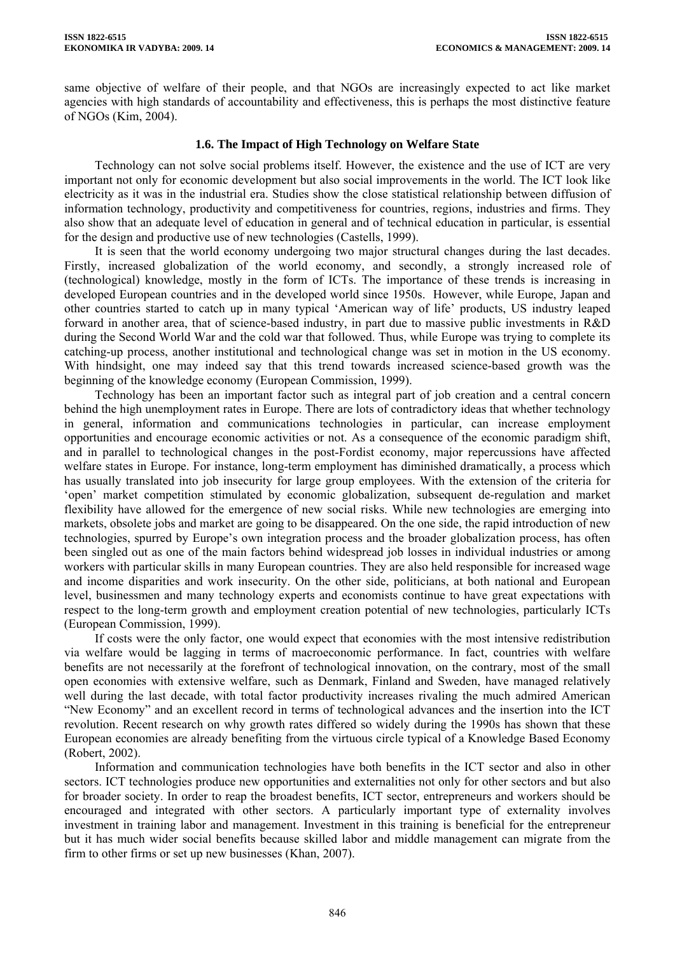same objective of welfare of their people, and that NGOs are increasingly expected to act like market agencies with high standards of accountability and effectiveness, this is perhaps the most distinctive feature of NGOs (Kim, 2004).

## **1.6. The Impact of High Technology on Welfare State**

Technology can not solve social problems itself. However, the existence and the use of ICT are very important not only for economic development but also social improvements in the world. The ICT look like electricity as it was in the industrial era. Studies show the close statistical relationship between diffusion of information technology, productivity and competitiveness for countries, regions, industries and firms. They also show that an adequate level of education in general and of technical education in particular, is essential for the design and productive use of new technologies (Castells, 1999).

It is seen that the world economy undergoing two major structural changes during the last decades. Firstly, increased globalization of the world economy, and secondly, a strongly increased role of (technological) knowledge, mostly in the form of ICTs. The importance of these trends is increasing in developed European countries and in the developed world since 1950s. However, while Europe, Japan and other countries started to catch up in many typical 'American way of life' products, US industry leaped forward in another area, that of science-based industry, in part due to massive public investments in R&D during the Second World War and the cold war that followed. Thus, while Europe was trying to complete its catching-up process, another institutional and technological change was set in motion in the US economy. With hindsight, one may indeed say that this trend towards increased science-based growth was the beginning of the knowledge economy (European Commission, 1999).

Technology has been an important factor such as integral part of job creation and a central concern behind the high unemployment rates in Europe. There are lots of contradictory ideas that whether technology in general, information and communications technologies in particular, can increase employment opportunities and encourage economic activities or not. As a consequence of the economic paradigm shift, and in parallel to technological changes in the post-Fordist economy, major repercussions have affected welfare states in Europe. For instance, long-term employment has diminished dramatically, a process which has usually translated into job insecurity for large group employees. With the extension of the criteria for 'open' market competition stimulated by economic globalization, subsequent de-regulation and market flexibility have allowed for the emergence of new social risks. While new technologies are emerging into markets, obsolete jobs and market are going to be disappeared. On the one side, the rapid introduction of new technologies, spurred by Europe's own integration process and the broader globalization process, has often been singled out as one of the main factors behind widespread job losses in individual industries or among workers with particular skills in many European countries. They are also held responsible for increased wage and income disparities and work insecurity. On the other side, politicians, at both national and European level, businessmen and many technology experts and economists continue to have great expectations with respect to the long-term growth and employment creation potential of new technologies, particularly ICTs (European Commission, 1999).

If costs were the only factor, one would expect that economies with the most intensive redistribution via welfare would be lagging in terms of macroeconomic performance. In fact, countries with welfare benefits are not necessarily at the forefront of technological innovation, on the contrary, most of the small open economies with extensive welfare, such as Denmark, Finland and Sweden, have managed relatively well during the last decade, with total factor productivity increases rivaling the much admired American "New Economy" and an excellent record in terms of technological advances and the insertion into the ICT revolution. Recent research on why growth rates differed so widely during the 1990s has shown that these European economies are already benefiting from the virtuous circle typical of a Knowledge Based Economy (Robert, 2002).

Information and communication technologies have both benefits in the ICT sector and also in other sectors. ICT technologies produce new opportunities and externalities not only for other sectors and but also for broader society. In order to reap the broadest benefits, ICT sector, entrepreneurs and workers should be encouraged and integrated with other sectors. A particularly important type of externality involves investment in training labor and management. Investment in this training is beneficial for the entrepreneur but it has much wider social benefits because skilled labor and middle management can migrate from the firm to other firms or set up new businesses (Khan, 2007).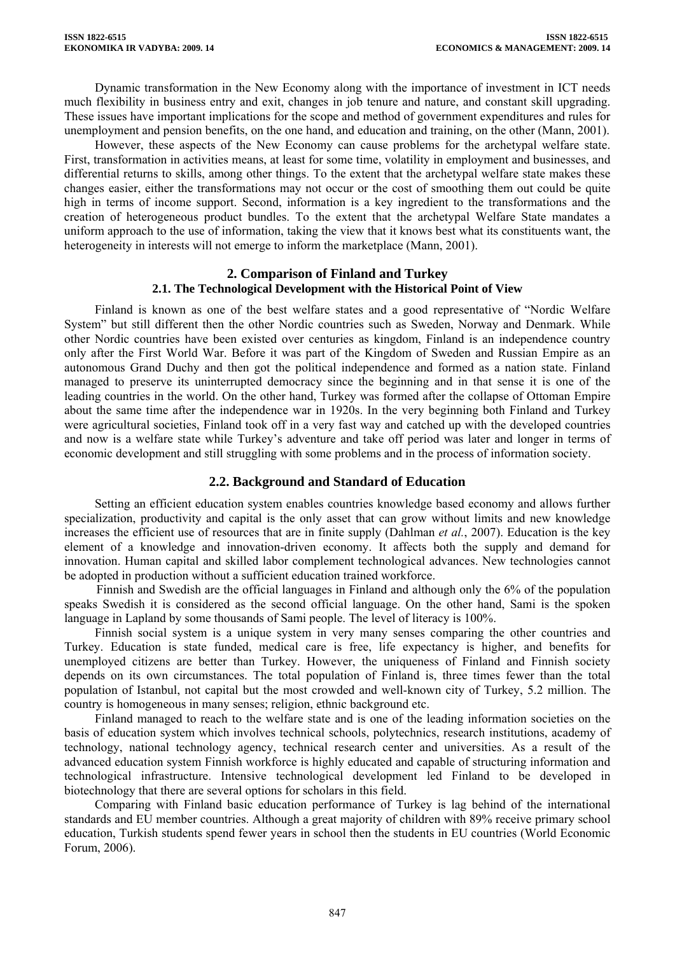Dynamic transformation in the New Economy along with the importance of investment in ICT needs much flexibility in business entry and exit, changes in job tenure and nature, and constant skill upgrading. These issues have important implications for the scope and method of government expenditures and rules for unemployment and pension benefits, on the one hand, and education and training, on the other (Mann, 2001).

However, these aspects of the New Economy can cause problems for the archetypal welfare state. First, transformation in activities means, at least for some time, volatility in employment and businesses, and differential returns to skills, among other things. To the extent that the archetypal welfare state makes these changes easier, either the transformations may not occur or the cost of smoothing them out could be quite high in terms of income support. Second, information is a key ingredient to the transformations and the creation of heterogeneous product bundles. To the extent that the archetypal Welfare State mandates a uniform approach to the use of information, taking the view that it knows best what its constituents want, the heterogeneity in interests will not emerge to inform the marketplace (Mann, 2001).

#### **2. Comparison of Finland and Turkey 2.1. The Technological Development with the Historical Point of View**

Finland is known as one of the best welfare states and a good representative of "Nordic Welfare System" but still different then the other Nordic countries such as Sweden, Norway and Denmark. While other Nordic countries have been existed over centuries as kingdom, Finland is an independence country only after the First World War. Before it was part of the Kingdom of Sweden and Russian Empire as an autonomous Grand Duchy and then got the political independence and formed as a nation state. Finland managed to preserve its uninterrupted democracy since the beginning and in that sense it is one of the leading countries in the world. On the other hand, Turkey was formed after the collapse of Ottoman Empire about the same time after the independence war in 1920s. In the very beginning both Finland and Turkey were agricultural societies, Finland took off in a very fast way and catched up with the developed countries and now is a welfare state while Turkey's adventure and take off period was later and longer in terms of economic development and still struggling with some problems and in the process of information society.

## **2.2. Background and Standard of Education**

Setting an efficient education system enables countries knowledge based economy and allows further specialization, productivity and capital is the only asset that can grow without limits and new knowledge increases the efficient use of resources that are in finite supply (Dahlman *et al.*, 2007). Education is the key element of a knowledge and innovation-driven economy. It affects both the supply and demand for innovation. Human capital and skilled labor complement technological advances. New technologies cannot be adopted in production without a sufficient education trained workforce.

 Finnish and Swedish are the official languages in Finland and although only the 6% of the population speaks Swedish it is considered as the second official language. On the other hand, Sami is the spoken language in Lapland by some thousands of Sami people. The level of literacy is 100%.

Finnish social system is a unique system in very many senses comparing the other countries and Turkey. Education is state funded, medical care is free, life expectancy is higher, and benefits for unemployed citizens are better than Turkey. However, the uniqueness of Finland and Finnish society depends on its own circumstances. The total population of Finland is, three times fewer than the total population of Istanbul, not capital but the most crowded and well-known city of Turkey, 5.2 million. The country is homogeneous in many senses; religion, ethnic background etc.

Finland managed to reach to the welfare state and is one of the leading information societies on the basis of education system which involves technical schools, polytechnics, research institutions, academy of technology, national technology agency, technical research center and universities. As a result of the advanced education system Finnish workforce is highly educated and capable of structuring information and technological infrastructure. Intensive technological development led Finland to be developed in biotechnology that there are several options for scholars in this field.

Comparing with Finland basic education performance of Turkey is lag behind of the international standards and EU member countries. Although a great majority of children with 89% receive primary school education, Turkish students spend fewer years in school then the students in EU countries (World Economic Forum, 2006).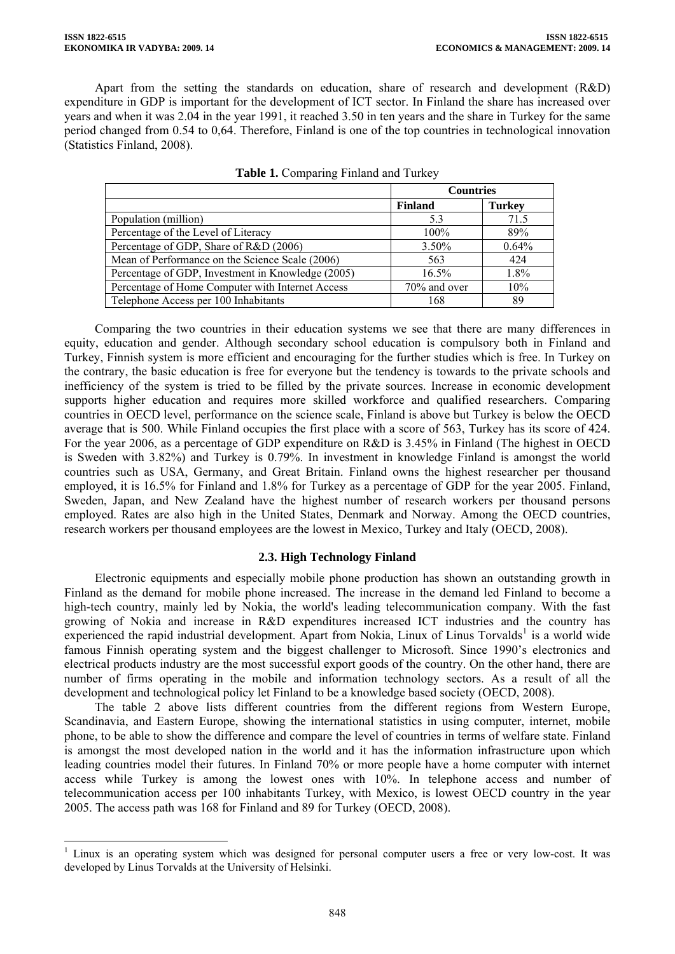$\overline{a}$ 

Apart from the setting the standards on education, share of research and development (R&D) expenditure in GDP is important for the development of ICT sector. In Finland the share has increased over years and when it was 2.04 in the year 1991, it reached 3.50 in ten years and the share in Turkey for the same period changed from 0.54 to 0,64. Therefore, Finland is one of the top countries in technological innovation (Statistics Finland, 2008).

|                                                   | <b>Countries</b> |               |
|---------------------------------------------------|------------------|---------------|
|                                                   | <b>Finland</b>   | <b>Turkey</b> |
| Population (million)                              | 5.3              | 71.5          |
| Percentage of the Level of Literacy               | 100%             | 89%           |
| Percentage of GDP, Share of R&D (2006)            | $3.50\%$         | 0.64%         |
| Mean of Performance on the Science Scale (2006)   | 563              | 424           |
| Percentage of GDP, Investment in Knowledge (2005) | $16.5\%$         | 1.8%          |
| Percentage of Home Computer with Internet Access  | 70% and over     | 10%           |
| Telephone Access per 100 Inhabitants              | 168              | 89            |

|  | Table 1. Comparing Finland and Turkey |  |  |  |
|--|---------------------------------------|--|--|--|
|--|---------------------------------------|--|--|--|

Comparing the two countries in their education systems we see that there are many differences in equity, education and gender. Although secondary school education is compulsory both in Finland and Turkey, Finnish system is more efficient and encouraging for the further studies which is free. In Turkey on the contrary, the basic education is free for everyone but the tendency is towards to the private schools and inefficiency of the system is tried to be filled by the private sources. Increase in economic development supports higher education and requires more skilled workforce and qualified researchers. Comparing countries in OECD level, performance on the science scale, Finland is above but Turkey is below the OECD average that is 500. While Finland occupies the first place with a score of 563, Turkey has its score of 424. For the year 2006, as a percentage of GDP expenditure on R&D is 3.45% in Finland (The highest in OECD is Sweden with 3.82%) and Turkey is 0.79%. In investment in knowledge Finland is amongst the world countries such as USA, Germany, and Great Britain. Finland owns the highest researcher per thousand employed, it is 16.5% for Finland and 1.8% for Turkey as a percentage of GDP for the year 2005. Finland, Sweden, Japan, and New Zealand have the highest number of research workers per thousand persons employed. Rates are also high in the United States, Denmark and Norway. Among the OECD countries, research workers per thousand employees are the lowest in Mexico, Turkey and Italy (OECD, 2008).

## **2.3. High Technology Finland**

Electronic equipments and especially mobile phone production has shown an outstanding growth in Finland as the demand for mobile phone increased. The increase in the demand led Finland to become a high-tech country, mainly led by Nokia, the world's leading telecommunication company. With the fast growing of Nokia and increase in R&D expenditures increased ICT industries and the country has experienced the rapid industrial development. Apart from Nokia, Linux of Linus Torvalds<sup>[1](#page-6-0)</sup> is a world wide famous Finnish operating system and the biggest challenger to Microsoft. Since 1990's electronics and electrical products industry are the most successful export goods of the country. On the other hand, there are number of firms operating in the mobile and information technology sectors. As a result of all the development and technological policy let Finland to be a knowledge based society (OECD, 2008).

The table 2 above lists different countries from the different regions from Western Europe, Scandinavia, and Eastern Europe, showing the international statistics in using computer, internet, mobile phone, to be able to show the difference and compare the level of countries in terms of welfare state. Finland is amongst the most developed nation in the world and it has the information infrastructure upon which leading countries model their futures. In Finland 70% or more people have a home computer with internet access while Turkey is among the lowest ones with 10%. In telephone access and number of telecommunication access per 100 inhabitants Turkey, with Mexico, is lowest OECD country in the year 2005. The access path was 168 for Finland and 89 for Turkey (OECD, 2008).

<span id="page-6-0"></span><sup>&</sup>lt;sup>1</sup> Linux is an operating system which was designed for personal computer users a free or very low-cost. It was developed by Linus Torvalds at the University of Helsinki.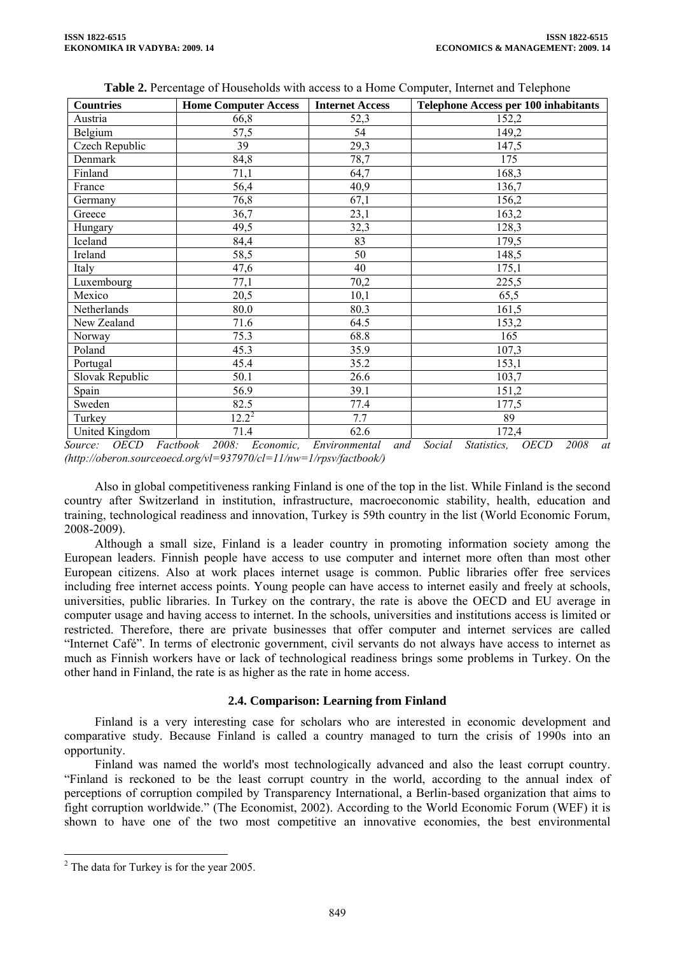| <b>Countries</b> | <b>Home Computer Access</b> | <b>Internet Access</b> | <b>Telephone Access per 100 inhabitants</b> |
|------------------|-----------------------------|------------------------|---------------------------------------------|
| Austria          | 66,8                        | 52,3                   | 152,2                                       |
| Belgium          | 57,5                        | 54                     | 149,2                                       |
| Czech Republic   | 39                          | 29,3                   | 147,5                                       |
| Denmark          | 84,8                        | 78,7                   | 175                                         |
| Finland          | 71,1                        | 64,7                   | 168,3                                       |
| France           | 56,4                        | 40,9                   | 136,7                                       |
| Germany          | 76,8                        | 67,1                   | 156,2                                       |
| Greece           | 36,7                        | 23,1                   | 163,2                                       |
| Hungary          | 49,5                        | 32,3                   | 128,3                                       |
| Iceland          | 84,4                        | 83                     | 179,5                                       |
| Ireland          | 58,5                        | 50                     | 148,5                                       |
| Italy            | 47,6                        | 40                     | 175,1                                       |
| Luxembourg       | 77,1                        | 70,2                   | 225,5                                       |
| Mexico           | 20,5                        | 10,1                   | 65,5                                        |
| Netherlands      | 80.0                        | 80.3                   | 161,5                                       |
| New Zealand      | 71.6                        | 64.5                   | 153,2                                       |
| Norway           | 75.3                        | 68.8                   | 165                                         |
| Poland           | 45.3                        | 35.9                   | 107,3                                       |
| Portugal         | 45.4                        | 35.2                   | 153,1                                       |
| Slovak Republic  | 50.1                        | 26.6                   | 103,7                                       |
| Spain            | 56.9                        | 39.1                   | 151,2                                       |
| Sweden           | 82.5                        | 77.4                   | 177,5                                       |
| Turkey           | $12.2^2$                    | 7.7                    | 89                                          |
| United Kingdom   | 71.4                        | 62.6                   | 172,4                                       |

**Table 2.** Percentage of Households with access to a Home Computer, Internet and Telephone

*Source: OECD Factbook 2008: Economic, Environmental and Social Statistics, OECD 2008 at (http://oberon.sourceoecd.org/vl=937970/cl=11/nw=1/rpsv/factbook/)* 

Also in global competitiveness ranking Finland is one of the top in the list. While Finland is the second country after Switzerland in institution, infrastructure, macroeconomic stability, health, education and training, technological readiness and innovation, Turkey is 59th country in the list (World Economic Forum, 2008-2009).

Although a small size, Finland is a leader country in promoting information society among the European leaders. Finnish people have access to use computer and internet more often than most other European citizens. Also at work places internet usage is common. Public libraries offer free services including free internet access points. Young people can have access to internet easily and freely at schools, universities, public libraries. In Turkey on the contrary, the rate is above the OECD and EU average in computer usage and having access to internet. In the schools, universities and institutions access is limited or restricted. Therefore, there are private businesses that offer computer and internet services are called "Internet Café". In terms of electronic government, civil servants do not always have access to internet as much as Finnish workers have or lack of technological readiness brings some problems in Turkey. On the other hand in Finland, the rate is as higher as the rate in home access.

#### **2.4. Comparison: Learning from Finland**

Finland is a very interesting case for scholars who are interested in economic development and comparative study. Because Finland is called a country managed to turn the crisis of 1990s into an opportunity.

Finland was named the world's most technologically advanced and also the least corrupt country. "Finland is reckoned to be the least corrupt country in the world, according to the annual index of perceptions of corruption compiled by Transparency International, a Berlin-based organization that aims to fight corruption worldwide." (The Economist, 2002). According to the World Economic Forum (WEF) it is shown to have one of the two most competitive an innovative economies, the best environmental

 $\overline{a}$ 

<span id="page-7-0"></span> $2^2$  The data for Turkey is for the year 2005.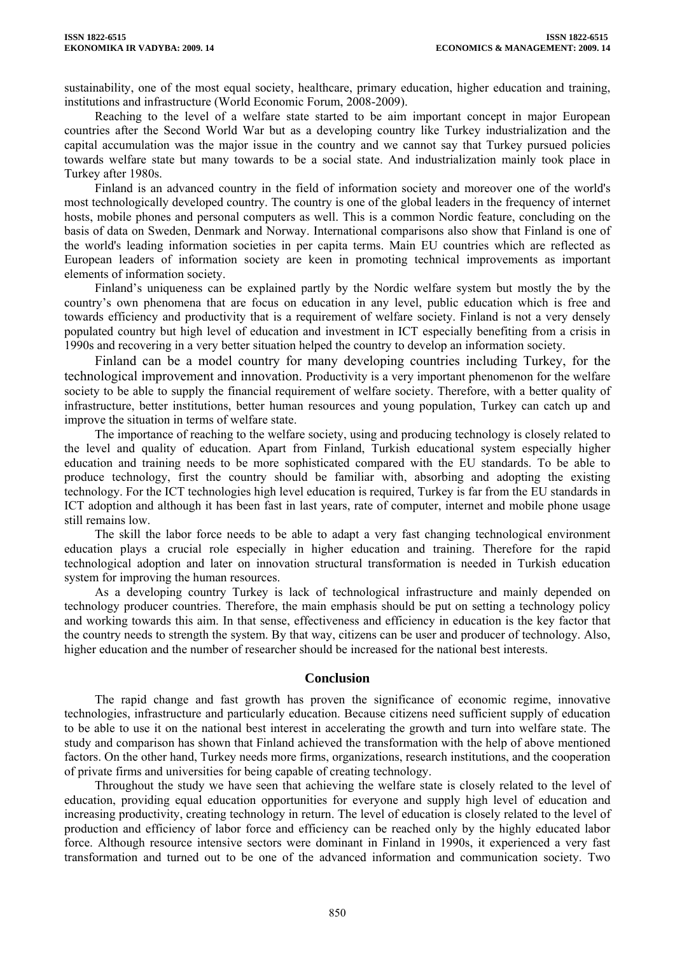sustainability, one of the most equal society, healthcare, primary education, higher education and training, institutions and infrastructure (World Economic Forum, 2008-2009).

Reaching to the level of a welfare state started to be aim important concept in major European countries after the Second World War but as a developing country like Turkey industrialization and the capital accumulation was the major issue in the country and we cannot say that Turkey pursued policies towards welfare state but many towards to be a social state. And industrialization mainly took place in Turkey after 1980s.

Finland is an advanced country in the field of information society and moreover one of the world's most technologically developed country. The country is one of the global leaders in the frequency of internet hosts, mobile phones and personal computers as well. This is a common Nordic feature, concluding on the basis of data on Sweden, Denmark and Norway. International comparisons also show that Finland is one of the world's leading information societies in per capita terms. Main EU countries which are reflected as European leaders of information society are keen in promoting technical improvements as important elements of information society.

Finland's uniqueness can be explained partly by the Nordic welfare system but mostly the by the country's own phenomena that are focus on education in any level, public education which is free and towards efficiency and productivity that is a requirement of welfare society. Finland is not a very densely populated country but high level of education and investment in ICT especially benefiting from a crisis in 1990s and recovering in a very better situation helped the country to develop an information society.

Finland can be a model country for many developing countries including Turkey, for the technological improvement and innovation. Productivity is a very important phenomenon for the welfare society to be able to supply the financial requirement of welfare society. Therefore, with a better quality of infrastructure, better institutions, better human resources and young population, Turkey can catch up and improve the situation in terms of welfare state.

The importance of reaching to the welfare society, using and producing technology is closely related to the level and quality of education. Apart from Finland, Turkish educational system especially higher education and training needs to be more sophisticated compared with the EU standards. To be able to produce technology, first the country should be familiar with, absorbing and adopting the existing technology. For the ICT technologies high level education is required, Turkey is far from the EU standards in ICT adoption and although it has been fast in last years, rate of computer, internet and mobile phone usage still remains low.

The skill the labor force needs to be able to adapt a very fast changing technological environment education plays a crucial role especially in higher education and training. Therefore for the rapid technological adoption and later on innovation structural transformation is needed in Turkish education system for improving the human resources.

As a developing country Turkey is lack of technological infrastructure and mainly depended on technology producer countries. Therefore, the main emphasis should be put on setting a technology policy and working towards this aim. In that sense, effectiveness and efficiency in education is the key factor that the country needs to strength the system. By that way, citizens can be user and producer of technology. Also, higher education and the number of researcher should be increased for the national best interests.

#### **Conclusion**

The rapid change and fast growth has proven the significance of economic regime, innovative technologies, infrastructure and particularly education. Because citizens need sufficient supply of education to be able to use it on the national best interest in accelerating the growth and turn into welfare state. The study and comparison has shown that Finland achieved the transformation with the help of above mentioned factors. On the other hand, Turkey needs more firms, organizations, research institutions, and the cooperation of private firms and universities for being capable of creating technology.

Throughout the study we have seen that achieving the welfare state is closely related to the level of education, providing equal education opportunities for everyone and supply high level of education and increasing productivity, creating technology in return. The level of education is closely related to the level of production and efficiency of labor force and efficiency can be reached only by the highly educated labor force. Although resource intensive sectors were dominant in Finland in 1990s, it experienced a very fast transformation and turned out to be one of the advanced information and communication society. Two